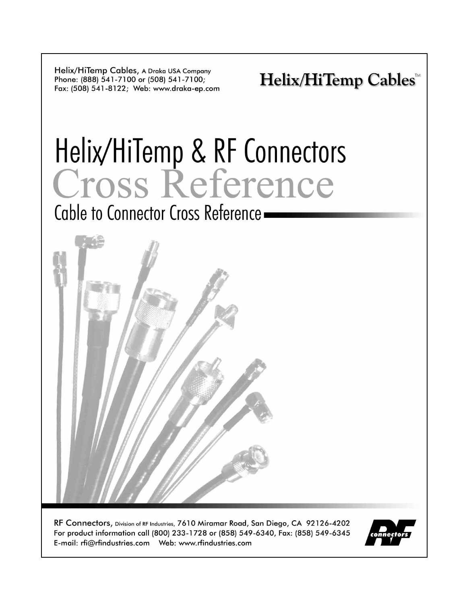Helix/HiTemp Cables, A Draka USA Company Phone: (888) 541-7100 or (508) 541-7100; Fax: (508) 541-8122; Web: www.draka-ep.com

**Helix/HiTemp Cables<sup>™</sup>** 

# Helix/HiTemp & RF Connectors<br>Cross Reference

Cable to Connector Cross Reference.



RF Connectors, Division of RF Industries, 7610 Miramar Road, San Diego, CA 92126-4202 For product information call (800) 233-1728 or (858) 549-6340, Fax: (858) 549-6345 

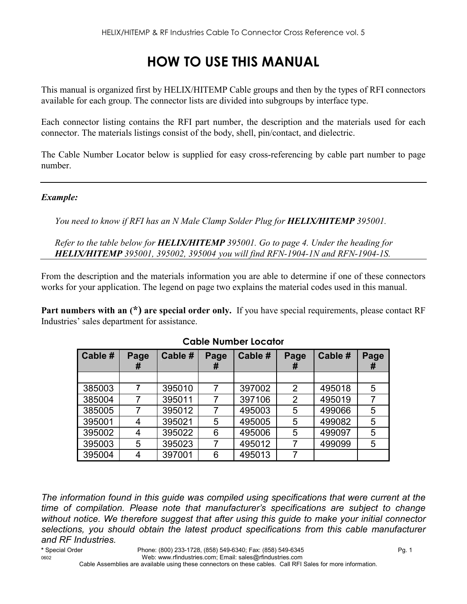# **HOW TO USE THIS MANUAL**

This manual is organized first by HELIX/HITEMP Cable groups and then by the types of RFI connectors available for each group. The connector lists are divided into subgroups by interface type.

Each connector listing contains the RFI part number, the description and the materials used for each connector. The materials listings consist of the body, shell, pin/contact, and dielectric.

The Cable Number Locator below is supplied for easy cross-referencing by cable part number to page number.

#### *Example:*

*You need to know if RFI has an N Male Clamp Solder Plug for HELIX/HITEMP 395001.* 

*Refer to the table below for HELIX/HITEMP 395001. Go to page 4. Under the heading for HELIX/HITEMP 395001, 395002, 395004 you will find RFN-1904-1N and RFN-1904-1S.* 

From the description and the materials information you are able to determine if one of these connectors works for your application. The legend on page two explains the material codes used in this manual.

**Part numbers with an (\*) are special order only.** If you have special requirements, please contact RF Industries' sales department for assistance.

| Cable # | Page<br># | Cable # | Page<br>Ħ | Cable # | Page<br>#      | Cable # | Page<br># |
|---------|-----------|---------|-----------|---------|----------------|---------|-----------|
|         |           |         |           |         |                |         |           |
| 385003  | 7         | 395010  |           | 397002  | 2              | 495018  | 5         |
| 385004  |           | 395011  |           | 397106  | $\overline{2}$ | 495019  |           |
| 385005  | 7         | 395012  |           | 495003  | 5              | 499066  | 5         |
| 395001  | 4         | 395021  | 5         | 495005  | 5              | 499082  | 5         |
| 395002  | 4         | 395022  | 6         | 495006  | 5              | 499097  | 5         |
| 395003  | 5         | 395023  |           | 495012  |                | 499099  | 5         |
| 395004  | 4         | 397001  | 6         | 495013  | 7              |         |           |

#### **Cable Number Locator**

*The information found in this guide was compiled using specifications that were current at the time of compilation. Please note that manufacturer's specifications are subject to change without notice. We therefore suggest that after using this guide to make your initial connector selections, you should obtain the latest product specifications from this cable manufacturer and RF Industries.*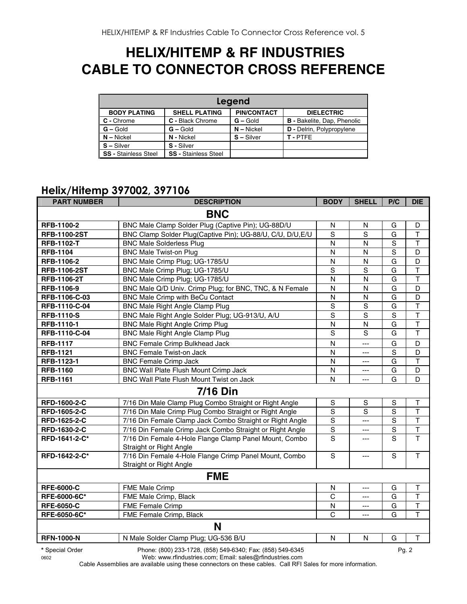# **HELIX/HITEMP & RF INDUSTRIES CABLE TO CONNECTOR CROSS REFERENCE**

| Legend                      |                             |                    |                                    |  |  |  |  |  |
|-----------------------------|-----------------------------|--------------------|------------------------------------|--|--|--|--|--|
| <b>BODY PLATING</b>         | <b>SHELL PLATING</b>        | <b>PIN/CONTACT</b> | <b>DIELECTRIC</b>                  |  |  |  |  |  |
| C - Chrome                  | C - Black Chrome            | $G -$ Gold         | <b>B</b> - Bakelite, Dap, Phenolic |  |  |  |  |  |
| $G - Gold$                  | $G - Gold$                  | $N -$ Nickel       | <b>D</b> - Delrin, Polypropylene   |  |  |  |  |  |
| $N - Nickel$                | N - Nickel                  | $S - Silver$       | T-PTFF                             |  |  |  |  |  |
| $S - Silver$                | S - Silver                  |                    |                                    |  |  |  |  |  |
| <b>SS - Stainless Steel</b> | <b>SS - Stainless Steel</b> |                    |                                    |  |  |  |  |  |

# **Helix/Hitemp 397002, 397106**

| <b>PART NUMBER</b>  | <b>DESCRIPTION</b>                                                                | <b>BODY</b>    | <b>SHELL</b>   | P/C            | <b>DIE</b>              |  |  |  |
|---------------------|-----------------------------------------------------------------------------------|----------------|----------------|----------------|-------------------------|--|--|--|
| <b>BNC</b>          |                                                                                   |                |                |                |                         |  |  |  |
| RFB-1100-2          | BNC Male Clamp Solder Plug (Captive Pin); UG-88D/U                                | N              | N              | G              | D                       |  |  |  |
| <b>RFB-1100-2ST</b> | BNC Clamp Solder Plug(Captive Pin); UG-88/U, C/U, D/U, E/U                        | $\overline{s}$ | $\overline{s}$ | G              | $\overline{\mathsf{T}}$ |  |  |  |
| <b>RFB-1102-T</b>   | <b>BNC Male Solderless Plug</b>                                                   | $\mathsf{N}$   | N              | $\mathbf S$    | $\mathsf{T}$            |  |  |  |
| <b>RFB-1104</b>     | <b>BNC Male Twist-on Plug</b>                                                     | N              | N              | S              | D                       |  |  |  |
| RFB-1106-2          | BNC Male Crimp Plug; UG-1785/U                                                    | $\mathsf{N}$   | ${\sf N}$      | G              | D                       |  |  |  |
| <b>RFB-1106-2ST</b> | BNC Male Crimp Plug; UG-1785/U                                                    | $\mathbf S$    | S              | G              | $\mathsf{T}$            |  |  |  |
| RFB-1106-2T         | BNC Male Crimp Plug; UG-1785/U                                                    | $\mathsf{N}$   | N              | G              | $\overline{\mathsf{T}}$ |  |  |  |
| RFB-1106-9          | BNC Male Q/D Univ. Crimp Plug; for BNC, TNC, & N Female                           | $\mathsf{N}$   | N              | G              | D                       |  |  |  |
| RFB-1106-C-03       | BNC Male Crimp with BeCu Contact                                                  | $\mathsf{N}$   | N              | G              | D                       |  |  |  |
| RFB-1110-C-04       | <b>BNC Male Right Angle Clamp Plug</b>                                            | S              | $\mathbf S$    | G              | $\top$                  |  |  |  |
| <b>RFB-1110-S</b>   | BNC Male Right Angle Solder Plug; UG-913/U, A/U                                   | $\overline{s}$ | $\overline{s}$ | $\overline{s}$ | $\overline{\mathsf{T}}$ |  |  |  |
| RFB-1110-1          | <b>BNC Male Right Angle Crimp Plug</b>                                            | $\mathsf{N}$   | N              | G              | $\overline{\mathsf{T}}$ |  |  |  |
| RFB-1110-C-04       | <b>BNC Male Right Angle Clamp Plug</b>                                            | S              | S              | G              | $\mathsf T$             |  |  |  |
| <b>RFB-1117</b>     | <b>BNC Female Crimp Bulkhead Jack</b>                                             | $\mathsf{N}$   | ---            | G              | D                       |  |  |  |
| <b>RFB-1121</b>     | <b>BNC Female Twist-on Jack</b>                                                   | N              | ---            | $\mathbf S$    | D                       |  |  |  |
| RFB-1123-1          | <b>BNC Female Crimp Jack</b>                                                      | N              | ---            | G              | $\mathsf{T}$            |  |  |  |
| <b>RFB-1160</b>     | BNC Wall Plate Flush Mount Crimp Jack                                             | N              | ---            | G              | D                       |  |  |  |
| <b>RFB-1161</b>     | BNC Wall Plate Flush Mount Twist on Jack                                          | N              | ---            | G              | D                       |  |  |  |
|                     | <b>7/16 Din</b>                                                                   |                |                |                |                         |  |  |  |
| RFD-1600-2-C        | 7/16 Din Male Clamp Plug Combo Straight or Right Angle                            | ${\sf S}$      | ${\mathsf S}$  | $\mathbb S$    | T                       |  |  |  |
| RFD-1605-2-C        | 7/16 Din Male Crimp Plug Combo Straight or Right Angle                            | $\overline{s}$ | $\overline{s}$ | $\overline{s}$ | $\overline{\mathsf{T}}$ |  |  |  |
| RFD-1625-2-C        | 7/16 Din Female Clamp Jack Combo Straight or Right Angle                          | ${\mathsf S}$  | ---            | $\mathbf S$    | $\top$                  |  |  |  |
| RFD-1630-2-C        | 7/16 Din Female Crimp Jack Combo Straight or Right Angle                          | $\mathbf S$    | ---            | $\mathsf S$    | $\top$                  |  |  |  |
| RFD-1641-2-C*       | 7/16 Din Female 4-Hole Flange Clamp Panel Mount, Combo<br>Straight or Right Angle | S              | ---            | S              | $\overline{1}$          |  |  |  |
| RFD-1642-2-C*       | 7/16 Din Female 4-Hole Flange Crimp Panel Mount, Combo<br>Straight or Right Angle | S              | ---            | S              | T                       |  |  |  |
|                     | <b>FME</b>                                                                        |                |                |                |                         |  |  |  |
| <b>RFE-6000-C</b>   | FME Male Crimp                                                                    | $\mathsf{N}$   | ---            | G              | T                       |  |  |  |
| RFE-6000-6C*        | FME Male Crimp, Black                                                             | $\mathsf{C}$   | ---            | G              | $\overline{\mathsf{T}}$ |  |  |  |
| <b>RFE-6050-C</b>   | <b>FME Female Crimp</b>                                                           | N              | ---            | G              | $\overline{\mathsf{T}}$ |  |  |  |
| RFE-6050-6C*        | FME Female Crimp, Black                                                           | C              | $\overline{a}$ | G              | $\mathsf{T}$            |  |  |  |
|                     | N                                                                                 |                |                |                |                         |  |  |  |
| <b>RFN-1000-N</b>   | N Male Solder Clamp Plug; UG-536 B/U                                              | $\mathsf{N}$   | N              | G              | $\mathsf T$             |  |  |  |
| * Special Order     | Phone: (800) 233-1728, (858) 549-6340; Fax: (858) 549-6345                        |                |                | Pq. 2          |                         |  |  |  |

0602 Web: www.rfindustries.com; Email: sales@rfindustries.com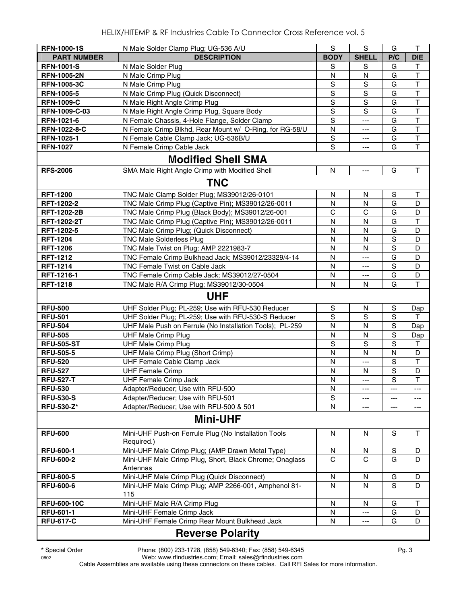| <b>RFN-1000-1S</b> | N Male Solder Clamp Plug; UG-536 A/U                                | ${\mathsf S}$ | ${\mathsf S}$            | G              | T                       |
|--------------------|---------------------------------------------------------------------|---------------|--------------------------|----------------|-------------------------|
| <b>PART NUMBER</b> | <b>DESCRIPTION</b>                                                  | <b>BODY</b>   | <b>SHELL</b>             | P/C            | <b>DIE</b>              |
| <b>RFN-1001-S</b>  | N Male Solder Plug                                                  | S             | S                        | G              | Τ                       |
| <b>RFN-1005-2N</b> | N Male Crimp Plug                                                   | N             | N                        | G              | $\top$                  |
| <b>RFN-1005-3C</b> | N Male Crimp Plug                                                   | ${\mathsf S}$ | S                        | G              | $\top$                  |
| <b>RFN-1005-5</b>  | N Male Crimp Plug (Quick Disconnect)                                | S             | S                        | G              | $\mathsf T$             |
| <b>RFN-1009-C</b>  | N Male Right Angle Crimp Plug                                       | $\mathbf S$   | S                        | G              | T                       |
| RFN-1009-C-03      | N Male Right Angle Crimp Plug, Square Body                          | $\mathbf S$   | S                        | G              | $\mathsf T$             |
| RFN-1021-6         | N Female Chassis, 4-Hole Flange, Solder Clamp                       | $\mathbf S$   | $---$                    | G              | $\mathsf T$             |
| RFN-1022-8-C       | N Female Crimp Blkhd, Rear Mount w/ O-Ring, for RG-58/U             | N             | ---                      | G              | T                       |
| RFN-1025-1         | N Female Cable Clamp Jack; UG-536B/U                                | S             | ---                      | G              | $\mathsf T$             |
| <b>RFN-1027</b>    | N Female Crimp Cable Jack                                           | S             | ---                      | G              | $\overline{\mathsf{T}}$ |
|                    | <b>Modified Shell SMA</b>                                           |               |                          |                |                         |
| <b>RFS-2006</b>    | SMA Male Right Angle Crimp with Modified Shell                      | N             | $\overline{a}$           | G              | Τ                       |
|                    | <b>TNC</b>                                                          |               |                          |                |                         |
|                    |                                                                     |               |                          |                |                         |
| <b>RFT-1200</b>    | TNC Male Clamp Solder Plug; MS39012/26-0101                         | N             | N                        | S              | Τ                       |
| RFT-1202-2         | TNC Male Crimp Plug (Captive Pin); MS39012/26-0011                  | N             | N                        | G              | D                       |
| <b>RFT-1202-2B</b> | TNC Male Crimp Plug (Black Body); MS39012/26-001                    | $\mathsf C$   | $\mathsf{C}$             | G              | D                       |
| <b>RFT-1202-2T</b> | TNC Male Crimp Plug (Captive Pin); MS39012/26-0011                  | N             | N                        | G              | Т                       |
| RFT-1202-5         | TNC Male Crimp Plug; (Quick Disconnect)                             | N             | N                        | G              | D                       |
| <b>RFT-1204</b>    | <b>TNC Male Solderless Plug</b>                                     | N             | $\mathsf{N}$             | $\mathbf S$    | D                       |
| <b>RFT-1206</b>    | TNC Male Twist on Plug; AMP 2221983-7                               | N             | N                        | $\mathbf S$    | D                       |
| <b>RFT-1212</b>    | TNC Female Crimp Bulkhead Jack; MS39012/23329/4-14                  | N             | $\overline{\phantom{a}}$ | G              | D                       |
| <b>RFT-1214</b>    | TNC Female Twist on Cable Jack                                      | N             | ---                      | S              | D                       |
| RFT-1216-1         | TNC Female Crimp Cable Jack; MS39012/27-0504                        | N             | ---                      | G              | D                       |
| <b>RFT-1218</b>    | TNC Male R/A Crimp Plug; MS39012/30-0504                            | N             | N                        | G              | T                       |
|                    | <b>UHF</b>                                                          |               |                          |                |                         |
| <b>RFU-500</b>     | UHF Solder Plug; PL-259; Use with RFU-530 Reducer                   | ${\sf S}$     | N                        | S              | Dap                     |
| <b>RFU-501</b>     | UHF Solder Plug; PL-259; Use with RFU-530-S Reducer                 | S             | S                        | S              | т                       |
| <b>RFU-504</b>     | UHF Male Push on Ferrule (No Installation Tools); PL-259            | N             | N                        | $\mathbb S$    | Dap                     |
| <b>RFU-505</b>     | <b>UHF Male Crimp Plug</b>                                          | N             | N                        | $\mathbf S$    | Dap                     |
| <b>RFU-505-ST</b>  | <b>UHF Male Crimp Plug</b>                                          | $\mathbf S$   | $\mathbf S$              | $\mathbf S$    | Τ                       |
| <b>RFU-505-5</b>   | UHF Male Crimp Plug (Short Crimp)                                   | ${\sf N}$     | N                        | N              | D                       |
| <b>RFU-520</b>     | UHF Female Cable Clamp Jack                                         | N             | ---                      | $\mathbf S$    | T                       |
| <b>RFU-527</b>     | <b>UHF Female Crimp</b>                                             | N             | N                        | $\mathbf S$    | D                       |
| <b>RFU-527-T</b>   | <b>UHF Female Crimp Jack</b>                                        | N             | ---                      | $\overline{s}$ | $\mathsf T$             |
| <b>RFU-530</b>     | Adapter/Reducer; Use with RFU-500                                   | N             | ---                      | $---$          | ---                     |
| <b>RFU-530-S</b>   | Adapter/Reducer; Use with RFU-501                                   | $\mathbf S$   | ---                      |                | ---                     |
| <b>RFU-530-Z*</b>  | Adapter/Reducer; Use with RFU-500 & 501                             | N             | ---                      | ---            | ---                     |
|                    | <b>Mini-UHF</b>                                                     |               |                          |                |                         |
| <b>RFU-600</b>     | Mini-UHF Push-on Ferrule Plug (No Installation Tools                | N             | N                        | S              | $\mathsf T$             |
|                    | Required.)                                                          |               |                          |                |                         |
| <b>RFU-600-1</b>   | Mini-UHF Male Crimp Plug; (AMP Drawn Metal Type)                    | N             | N                        | ${\mathbb S}$  | D                       |
| <b>RFU-600-2</b>   | Mini-UHF Male Crimp Plug, Short, Black Chrome; Onaglass<br>Antennas | C             | $\mathsf{C}$             | G              | D                       |
| <b>RFU-600-5</b>   | Mini-UHF Male Crimp Plug (Quick Disconnect)                         | N             | N                        | G              | D                       |
| <b>RFU-600-6</b>   | Mini-UHF Male Crimp Plug; AMP 2266-001, Amphenol 81-                | N             | N                        | S              | D                       |
|                    | 115                                                                 |               |                          |                |                         |
| <b>RFU-600-10C</b> | Mini-UHF Male R/A Crimp Plug                                        | N             | N.                       | G              | т                       |
| <b>RFU-601-1</b>   | Mini-UHF Female Crimp Jack                                          | N             | ---                      | G              | D                       |
| <b>RFU-617-C</b>   | Mini-UHF Female Crimp Rear Mount Bulkhead Jack                      | N             | ---                      | G              | D                       |
|                    | <b>Reverse Polarity</b>                                             |               |                          |                |                         |

**\*** Special Order Phone: (800) 233-1728, (858) 549-6340; Fax: (858) 549-6345 Pg. 3

0602 Web: www.rfindustries.com; Email: sales@rfindustries.com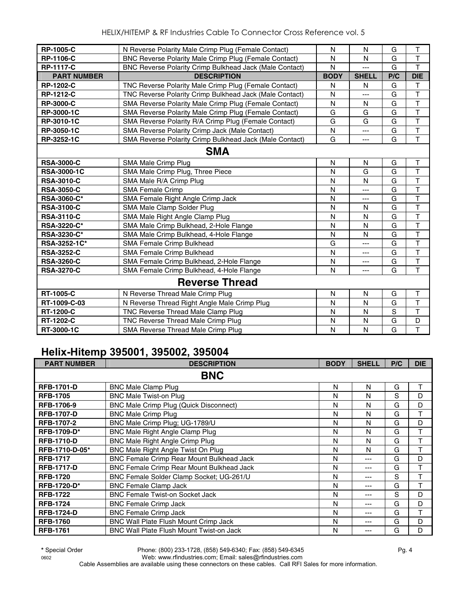| <b>RP-1005-C</b>   | N Reverse Polarity Male Crimp Plug (Female Contact)          | N           | N            | G           | T                       |
|--------------------|--------------------------------------------------------------|-------------|--------------|-------------|-------------------------|
| <b>RP-1106-C</b>   | <b>BNC Reverse Polarity Male Crimp Plug (Female Contact)</b> | N           | N            | G           | $\overline{\mathsf{T}}$ |
| <b>RP-1117-C</b>   | BNC Reverse Polarity Crimp Bulkhead Jack (Male Contact)      | N           | ---          | G           | T                       |
| <b>PART NUMBER</b> | <b>DESCRIPTION</b>                                           | <b>BODY</b> | <b>SHELL</b> | P/C         | <b>DIE</b>              |
| RP-1202-C          | TNC Reverse Polarity Male Crimp Plug (Female Contact)        | N           | N            | G           | T                       |
| <b>RP-1212-C</b>   | TNC Reverse Polarity Crimp Bulkhead Jack (Male Contact)      | N           | ---          | G           | $\mathsf{T}$            |
| <b>RP-3000-C</b>   | SMA Reverse Polarity Male Crimp Plug (Female Contact)        | N           | N            | G           | $\overline{\mathsf{T}}$ |
| RP-3000-1C         | <b>SMA Reverse Polarity Male Crimp Plug (Female Contact)</b> | G           | G            | G           | $\overline{\mathsf{T}}$ |
| RP-3010-1C         | SMA Reverse Polarity R/A Crimp Plug (Female Contact)         | G           | G            | G           | T                       |
| RP-3050-1C         | SMA Reverse Polarity Crimp Jack (Male Contact)               | N           | ---          | G           | $\overline{\mathsf{T}}$ |
| RP-3252-1C         | SMA Reverse Polarity Crimp Bulkhead Jack (Male Contact)      | G           | ---          | G           | T                       |
|                    | <b>SMA</b>                                                   |             |              |             |                         |
| <b>RSA-3000-C</b>  | SMA Male Crimp Plug                                          | N           | N            | G           | Τ                       |
| <b>RSA-3000-1C</b> | SMA Male Crimp Plug, Three Piece                             | N           | G            | G           | $\overline{\mathsf{T}}$ |
| <b>RSA-3010-C</b>  | SMA Male R/A Crimp Plug                                      | N           | N            | G           | $\mathsf T$             |
| <b>RSA-3050-C</b>  | <b>SMA Female Crimp</b>                                      | N           | ---          | G           | $\overline{\mathsf{T}}$ |
| RSA-3060-C*        | SMA Female Right Angle Crimp Jack                            | N           | ---          | G           | $\overline{\mathsf{T}}$ |
| <b>RSA-3100-C</b>  | SMA Male Clamp Solder Plug                                   | N           | N            | G           | $\overline{\mathsf{T}}$ |
| <b>RSA-3110-C</b>  | SMA Male Right Angle Clamp Plug                              | N           | N            | G           | $\overline{\mathsf{T}}$ |
| <b>RSA-3220-C*</b> | SMA Male Crimp Bulkhead, 2-Hole Flange                       | N           | N            | G           | $\overline{\mathsf{T}}$ |
| <b>RSA-3230-C*</b> | SMA Male Crimp Bulkhead, 4-Hole Flange                       | N           | N            | G           | $\overline{\mathsf{T}}$ |
| RSA-3252-1C*       | SMA Female Crimp Bulkhead                                    | G           | ---          | G           | $\overline{\mathsf{T}}$ |
| <b>RSA-3252-C</b>  | SMA Female Crimp Bulkhead                                    | N           | ---          | G           | $\mathsf{T}$            |
| <b>RSA-3260-C</b>  | SMA Female Crimp Bulkhead, 2-Hole Flange                     | N           | ---          | G           | $\top$                  |
| <b>RSA-3270-C</b>  | SMA Female Crimp Bulkhead, 4-Hole Flange                     | N           | ---          | G           | T                       |
|                    | <b>Reverse Thread</b>                                        |             |              |             |                         |
| <b>RT-1005-C</b>   | N Reverse Thread Male Crimp Plug                             | N           | N            | G           | T                       |
| RT-1009-C-03       | N Reverse Thread Right Angle Male Crimp Plug                 | N           | N            | G           | T                       |
| <b>RT-1200-C</b>   | TNC Reverse Thread Male Clamp Plug                           | N           | N            | $\mathbf S$ | $\overline{\mathsf{T}}$ |
| <b>RT-1202-C</b>   | TNC Reverse Thread Male Crimp Plug                           | N           | N            | G           | D                       |
| RT-3000-1C         | SMA Reverse Thread Male Crimp Plug                           | N           | N            | G           | $\overline{T}$          |

### **Helix-Hitemp 395001, 395002, 395004**

| <b>PART NUMBER</b> | <b>DESCRIPTION</b>                              | <b>BODY</b> | <b>SHELL</b> | P/C | <b>DIE</b> |
|--------------------|-------------------------------------------------|-------------|--------------|-----|------------|
|                    | <b>BNC</b>                                      |             |              |     |            |
| <b>RFB-1701-D</b>  | <b>BNC Male Clamp Plug</b>                      | N           | N            | G   | Τ          |
| <b>RFB-1705</b>    | <b>BNC Male Twist-on Plug</b>                   | N           | N            | S   | D          |
| RFB-1706-9         | <b>BNC Male Crimp Plug (Quick Disconnect)</b>   | N           | N            | G   | D          |
| <b>RFB-1707-D</b>  | <b>BNC Male Crimp Plug</b>                      | N           | N            | G   | T          |
| RFB-1707-2         | BNC Male Crimp Plug; UG-1789/U                  | N           | N            | G   | D          |
| <b>RFB-1709-D*</b> | BNC Male Right Angle Clamp Plug                 | N           | N            | G   | T          |
| <b>RFB-1710-D</b>  | BNC Male Right Angle Crimp Plug                 | N           | N            | G   | T          |
| RFB-1710-D-05*     | BNC Male Right Angle Twist On Plug              | N           | N            | G   | T          |
| <b>RFB-1717</b>    | BNC Female Crimp Rear Mount Bulkhead Jack       | N           | ---          | G   | D          |
| <b>RFB-1717-D</b>  | BNC Female Crimp Rear Mount Bulkhead Jack       | N           | ---          | G   | T          |
| <b>RFB-1720</b>    | BNC Female Solder Clamp Socket; UG-261/U        | N           | ---          | S   | T          |
| <b>RFB-1720-D*</b> | <b>BNC Female Clamp Jack</b>                    | N           | ---          | G   | T          |
| <b>RFB-1722</b>    | <b>BNC Female Twist-on Socket Jack</b>          | N           | ---          | S   | D          |
| <b>RFB-1724</b>    | <b>BNC Female Crimp Jack</b>                    | N           | ---          | G   | D          |
| <b>RFB-1724-D</b>  | <b>BNC Female Crimp Jack</b>                    | N           | ---          | G   | T          |
| <b>RFB-1760</b>    | BNC Wall Plate Flush Mount Crimp Jack           | N           | ---          | G   | D          |
| <b>RFB-1761</b>    | <b>BNC Wall Plate Flush Mount Twist-on Jack</b> | N           | ---          | G   | D          |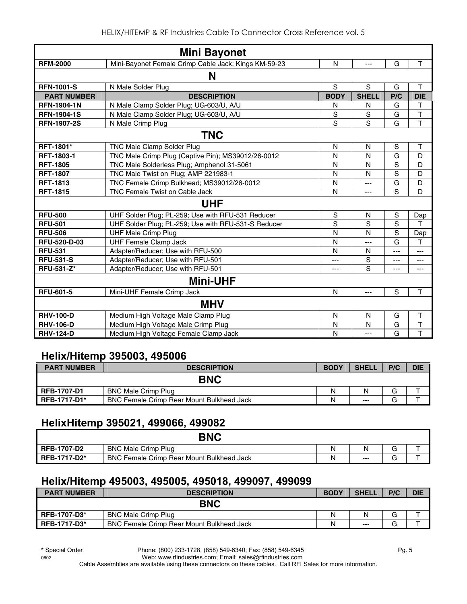|                    | <b>Mini Bayonet</b>                                  |                |               |                |                         |
|--------------------|------------------------------------------------------|----------------|---------------|----------------|-------------------------|
| <b>RFM-2000</b>    | Mini-Bayonet Female Crimp Cable Jack; Kings KM-59-23 | N              | $---$         | G              | T                       |
|                    | N                                                    |                |               |                |                         |
| <b>RFN-1001-S</b>  | N Male Solder Plug                                   | S              | S             | G              | Τ                       |
| <b>PART NUMBER</b> | <b>DESCRIPTION</b>                                   | <b>BODY</b>    | <b>SHELL</b>  | P/C            | <b>DIE</b>              |
| <b>RFN-1904-1N</b> | N Male Clamp Solder Plug; UG-603/U, A/U              | N              | N             | G              | Τ                       |
| <b>RFN-1904-1S</b> | N Male Clamp Solder Plug; UG-603/U, A/U              | S              | ${\mathsf S}$ | G              | $\overline{\mathsf{T}}$ |
| <b>RFN-1907-2S</b> | N Male Crimp Plug                                    | $\overline{s}$ | S             | G              | $\overline{T}$          |
|                    | <b>TNC</b>                                           |                |               |                |                         |
| <b>RFT-1801*</b>   | <b>TNC Male Clamp Solder Plug</b>                    | N              | N             | S              | Т                       |
| <b>RFT-1803-1</b>  | TNC Male Crimp Plug (Captive Pin); MS39012/26-0012   | N              | $\mathsf{N}$  | G              | D                       |
| <b>RFT-1805</b>    | TNC Male Solderless Plug; Amphenol 31-5061           | N              | N             | S              | D                       |
| <b>RFT-1807</b>    | TNC Male Twist on Plug; AMP 221983-1                 | N              | N             | S              | D                       |
| <b>RFT-1813</b>    | TNC Female Crimp Bulkhead; MS39012/28-0012           | N              | ---           | G              | D                       |
| <b>RFT-1815</b>    | <b>TNC Female Twist on Cable Jack</b>                | N              | $---$         | S              | D                       |
|                    | <b>UHF</b>                                           |                |               |                |                         |
| <b>RFU-500</b>     | UHF Solder Plug; PL-259; Use with RFU-531 Reducer    | S              | N             | S              | Dap                     |
| <b>RFU-501</b>     | UHF Solder Plug; PL-259; Use with RFU-531-S Reducer  | S              | S             | S              | T                       |
| <b>RFU-506</b>     | <b>UHF Male Crimp Plug</b>                           | N              | N             | S              | Dap                     |
| RFU-520-D-03       | <b>UHF Female Clamp Jack</b>                         | N              | ---           | G              | T                       |
| <b>RFU-531</b>     | Adapter/Reducer; Use with RFU-500                    | N              | N             | $\overline{a}$ | ---                     |
| <b>RFU-531-S</b>   | Adapter/Reducer; Use with RFU-501                    | ---            | S             | ---            | ---                     |
| RFU-531-Z*         | Adapter/Reducer; Use with RFU-501                    | ---            | S             | ---            | ---                     |
|                    | <b>Mini-UHF</b>                                      |                |               |                |                         |
| <b>RFU-601-5</b>   | Mini-UHF Female Crimp Jack                           | N              | ---           | $\mathbf S$    | T                       |
|                    | <b>MHV</b>                                           |                |               |                |                         |
| <b>RHV-100-D</b>   | Medium High Voltage Male Clamp Plug                  | N              | N             | G              | т                       |
| <b>RHV-106-D</b>   | Medium High Voltage Male Crimp Plug                  | N              | N             | G              | $\overline{\mathsf{T}}$ |
| <b>RHV-124-D</b>   | Medium High Voltage Female Clamp Jack                | N              | ---           | G              | T                       |

#### **Helix/Hitemp 395003, 495006**

| <b>PART NUMBER</b>  | <b>DESCRIPTION</b>                               | <b>BODY</b> | <b>SHELL</b> | P/C    | <b>DIE</b> |
|---------------------|--------------------------------------------------|-------------|--------------|--------|------------|
|                     | <b>BNC</b>                                       |             |              |        |            |
| <b>RFB-1707-D1</b>  | <b>BNC Male Crimp Plug</b>                       | N           |              | G      |            |
| <b>RFB-1717-D1*</b> | <b>BNC Female Crimp Rear Mount Bulkhead Jack</b> | N           | $---$        | ⌒<br>G |            |

# **HelixHitemp 395021, 499066, 499082**

|                     | <b>BNC</b>                                       |   |       |        |   |
|---------------------|--------------------------------------------------|---|-------|--------|---|
| <b>RFB-1707-D2</b>  | <b>BNC Male Crimp Plug</b>                       | Ν | N     | -      |   |
| <b>RFB-1717-D2*</b> | <b>BNC Female Crimp Rear Mount Bulkhead Jack</b> | Ν | $---$ | -<br>◡ | - |

# **Helix/Hitemp 495003, 495005, 495018, 499097, 499099**

| <b>PART NUMBER</b>  | <b>DESCRIPTION</b>                               | <b>BODY</b> | <b>SHELL</b> | P/C | <b>DIE</b> |
|---------------------|--------------------------------------------------|-------------|--------------|-----|------------|
|                     | <b>BNC</b>                                       |             |              |     |            |
| <b>RFB-1707-D3*</b> | <b>BNC Male Crimp Plug</b>                       | N           | N            | G   |            |
| <b>RFB-1717-D3*</b> | <b>BNC Female Crimp Rear Mount Bulkhead Jack</b> | Ν           | $---$        | J   |            |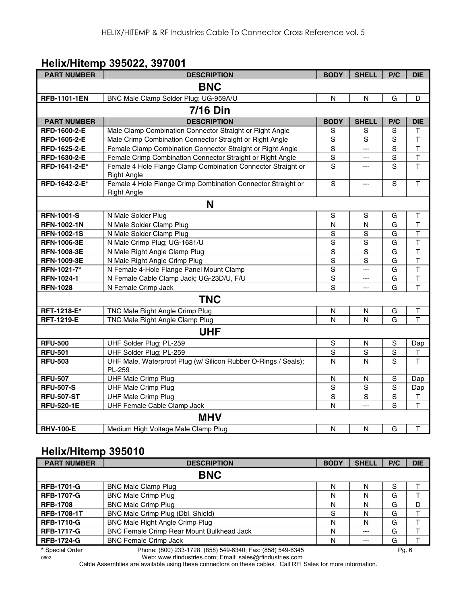#### **Helix/Hitemp 395022, 397001**

| <b>PART NUMBER</b>  | <b>DESCRIPTION</b>                                                                 | <b>BODY</b>    | <b>SHELL</b>   | P/C            | <b>DIE</b>              |
|---------------------|------------------------------------------------------------------------------------|----------------|----------------|----------------|-------------------------|
|                     | <b>BNC</b>                                                                         |                |                |                |                         |
| <b>RFB-1101-1EN</b> | BNC Male Clamp Solder Plug; UG-959A/U                                              | N              | N              | G              | D                       |
|                     | <b>7/16 Din</b>                                                                    |                |                |                |                         |
| <b>PART NUMBER</b>  | <b>DESCRIPTION</b>                                                                 | <b>BODY</b>    | <b>SHELL</b>   | P/C            | <b>DIE</b>              |
| RFD-1600-2-E        | Male Clamp Combination Connector Straight or Right Angle                           | $\mathbf S$    | S              | $\mathbf S$    | т                       |
| RFD-1605-2-E        | Male Crimp Combination Connector Straight or Right Angle                           | $\mathbf S$    | S              | S              | $\sf T$                 |
| RFD-1625-2-E        | Female Clamp Combination Connector Straight or Right Angle                         | $\mathbf S$    | $---$          | S              | $\mathsf{T}$            |
| RFD-1630-2-E        | Female Crimp Combination Connector Straight or Right Angle                         | $\overline{s}$ | ---            | $\mathbf S$    | $\mathsf T$             |
| RFD-1641-2-E*       | Female 4 Hole Flange Clamp Combination Connector Straight or<br><b>Right Angle</b> | S              | $\overline{a}$ | S              | $\overline{\mathsf{T}}$ |
| RFD-1642-2-E*       | Female 4 Hole Flange Crimp Combination Connector Straight or<br><b>Right Angle</b> | S              | $\overline{a}$ | S              | $\mathsf T$             |
|                     | N                                                                                  |                |                |                |                         |
| <b>RFN-1001-S</b>   | N Male Solder Plug                                                                 | $\mathbf S$    | $\mathsf S$    | G              | Τ                       |
| <b>RFN-1002-1N</b>  | N Male Solder Clamp Plug                                                           | N              | $\mathsf{N}$   | G              | $\mathsf{T}$            |
| <b>RFN-1002-1S</b>  | N Male Solder Clamp Plug                                                           | S              | S              | G              | $\mathsf T$             |
| <b>RFN-1006-3E</b>  | N Male Crimp Plug; UG-1681/U                                                       | S              | $\mathbf S$    | G              | T                       |
| <b>RFN-1008-3E</b>  | N Male Right Angle Clamp Plug                                                      | $\overline{s}$ | $\mathsf S$    | G              | $\overline{\mathsf{T}}$ |
| RFN-1009-3E         | N Male Right Angle Crimp Plug                                                      | $\overline{s}$ | S              | G              | $\overline{\mathsf{T}}$ |
| RFN-1021-7*         | N Female 4-Hole Flange Panel Mount Clamp                                           | $\overline{s}$ | ---            | G              | $\mathsf T$             |
| RFN-1024-1          | N Female Cable Clamp Jack; UG-23D/U, F/U                                           | $\overline{S}$ | $\overline{a}$ | G              | $\overline{\mathsf{T}}$ |
| <b>RFN-1028</b>     | N Female Crimp Jack                                                                | $\overline{s}$ | $\overline{a}$ | G              | $\overline{\mathsf{T}}$ |
|                     | <b>TNC</b>                                                                         |                |                |                |                         |
| RFT-1218-E*         | TNC Male Right Angle Crimp Plug                                                    | N              | N              | G              | $\sf T$                 |
| <b>RFT-1219-E</b>   | TNC Male Right Angle Clamp Plug                                                    | N              | $\mathsf{N}$   | G              | T                       |
|                     | <b>UHF</b>                                                                         |                |                |                |                         |
| <b>RFU-500</b>      | UHF Solder Plug; PL-259                                                            | $\mathbf S$    | N              | S              | Dap                     |
| <b>RFU-501</b>      | UHF Solder Plug; PL-259                                                            | S              | $\mathbf S$    | $\overline{s}$ | $\mathsf T$             |
| <b>RFU-503</b>      | UHF Male, Waterproof Plug (w/ Silicon Rubber O-Rings / Seals);<br>PL-259           | N              | N              | S              | T                       |
| <b>RFU-507</b>      | <b>UHF Male Crimp Plug</b>                                                         | N              | ${\sf N}$      | ${\mathsf S}$  | Dap                     |
| <b>RFU-507-S</b>    | <b>UHF Male Crimp Plug</b>                                                         | S              | $\overline{s}$ | S              | Dap                     |
| <b>RFU-507-ST</b>   | <b>UHF Male Crimp Plug</b>                                                         | $\overline{s}$ | $\mathbf S$    | $\mathbf S$    | $\top$                  |
| <b>RFU-520-1E</b>   | UHF Female Cable Clamp Jack                                                        | N              | ---            | S              | $\mathsf{T}$            |
|                     | <b>MHV</b>                                                                         |                |                |                |                         |
| <b>RHV-100-E</b>    | Medium High Voltage Male Clamp Plug                                                | N              | $\mathsf{N}$   | G              | $\mathsf T$             |

# **Helix/Hitemp 395010**

| <b>PART NUMBER</b> | <b>DESCRIPTION</b>                                         | <b>BODY</b> | <b>SHELL</b> | P/C     | <b>DIE</b> |
|--------------------|------------------------------------------------------------|-------------|--------------|---------|------------|
|                    | <b>BNC</b>                                                 |             |              |         |            |
| <b>RFB-1701-G</b>  | <b>BNC Male Clamp Plug</b>                                 | N           | N            | S       |            |
| <b>RFB-1707-G</b>  | <b>BNC Male Crimp Plug</b>                                 | N           | N            | G       |            |
| <b>RFB-1708</b>    | <b>BNC Male Crimp Plug</b>                                 | N           | N            | G       | D          |
| <b>RFB-1708-1T</b> | BNC Male Crimp Plug (Dbl. Shield)                          | S           | N            | G       |            |
| <b>RFB-1710-G</b>  | BNC Male Right Angle Crimp Plug                            | N           | N            | G       |            |
| <b>RFB-1717-G</b>  | <b>BNC Female Crimp Rear Mount Bulkhead Jack</b>           | N           | $---$        | G       |            |
| <b>RFB-1724-G</b>  | <b>BNC Female Crimp Jack</b>                               | N           | ---          | G       |            |
| * Special Order    | Phone: (800) 233-1728, (858) 549-6340; Fax: (858) 549-6345 |             |              | Pg. $6$ |            |

0602 Web: www.rfindustries.com; Email: sales@rfindustries.com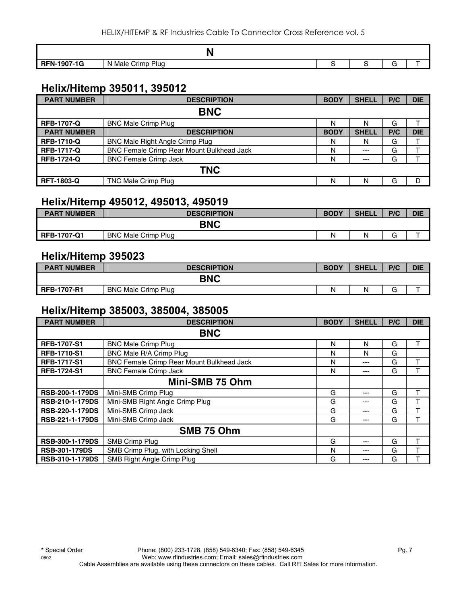|                    | N                                |  |  |
|--------------------|----------------------------------|--|--|
| <b>RFN-1907-1G</b> | <b>Plua</b><br>Male Crimp<br>-Ni |  |  |

#### **Helix/Hitemp 395011, 395012**

| <b>PART NUMBER</b> | <b>DESCRIPTION</b>                        | <b>BODY</b> | <b>SHELL</b> | P/C | <b>DIE</b> |  |
|--------------------|-------------------------------------------|-------------|--------------|-----|------------|--|
| <b>BNC</b>         |                                           |             |              |     |            |  |
| <b>RFB-1707-Q</b>  | <b>BNC Male Crimp Plug</b>                | N           | N            | G   |            |  |
| <b>PART NUMBER</b> | <b>DESCRIPTION</b>                        | <b>BODY</b> | <b>SHELL</b> | P/C | <b>DIE</b> |  |
| <b>RFB-1710-Q</b>  | <b>BNC Male Right Angle Crimp Plug</b>    | N           | N            | G   |            |  |
| <b>RFB-1717-Q</b>  | BNC Female Crimp Rear Mount Bulkhead Jack | N           | $--$         | G   |            |  |
| <b>RFB-1724-Q</b>  | <b>BNC Female Crimp Jack</b>              | N           | $---$        | G   |            |  |
| <b>TNC</b>         |                                           |             |              |     |            |  |
| <b>RFT-1803-Q</b>  | <b>TNC Male Crimp Plug</b>                | N           | Ν            | G   |            |  |

#### **Helix/Hitemp 495012, 495013, 495019**

| <b>PART NUMBER</b> | <b>DESCRIPTION</b>         | <b>BODY</b> | <b>SHELL</b> | P/C    | <b>DIE</b> |  |  |  |
|--------------------|----------------------------|-------------|--------------|--------|------------|--|--|--|
| <b>BNC</b>         |                            |             |              |        |            |  |  |  |
| <b>RFB-1707-Q1</b> | <b>BNC Male Crimp Plug</b> | N           | N            | ⌒<br>G |            |  |  |  |

#### **Helix/Hitemp 395023**

| <b>PART NUMBER</b> | <b>DESCRIPTION</b>         | <b>BODY</b> | <b>SHELL</b> | P/C    | <b>DIE</b> |
|--------------------|----------------------------|-------------|--------------|--------|------------|
|                    | <b>BNC</b>                 |             |              |        |            |
| <b>RFB-1707-R1</b> | <b>BNC Male Crimp Plug</b> | N           | N            | ⌒<br>c |            |

#### **Helix/Hitemp 385003, 385004, 385005**

| <b>PART NUMBER</b>     | <b>DESCRIPTION</b>                               | <b>BODY</b> | <b>SHELL</b> | P/C | <b>DIE</b> |
|------------------------|--------------------------------------------------|-------------|--------------|-----|------------|
|                        | <b>BNC</b>                                       |             |              |     |            |
| <b>RFB-1707-S1</b>     | <b>BNC Male Crimp Plug</b>                       | N           | N            | G   |            |
| <b>RFB-1710-S1</b>     | BNC Male R/A Crimp Plug                          | N           | N            | G   |            |
| <b>RFB-1717-S1</b>     | <b>BNC Female Crimp Rear Mount Bulkhead Jack</b> | N           | ---          | G   |            |
| <b>RFB-1724-S1</b>     | <b>BNC Female Crimp Jack</b>                     | N           | ---          | G   |            |
|                        | Mini-SMB 75 Ohm                                  |             |              |     |            |
| <b>RSB-200-1-179DS</b> | Mini-SMB Crimp Plug                              | G           | ---          | G   | т          |
| <b>RSB-210-1-179DS</b> | Mini-SMB Right Angle Crimp Plug                  | G           | ---          | G   |            |
| <b>RSB-220-1-179DS</b> | Mini-SMB Crimp Jack                              | G           | ---          | G   |            |
| <b>RSB-221-1-179DS</b> | Mini-SMB Crimp Jack                              | G           | ---          | G   |            |
|                        | SMB 75 Ohm                                       |             |              |     |            |
| <b>RSB-300-1-179DS</b> | SMB Crimp Plug                                   | G           | ---          | G   | т          |
| <b>RSB-301-179DS</b>   | SMB Crimp Plug, with Locking Shell               | N           | ---          | G   | ᠇          |
| <b>RSB-310-1-179DS</b> | SMB Right Angle Crimp Plug                       | G           | ---          | G   |            |